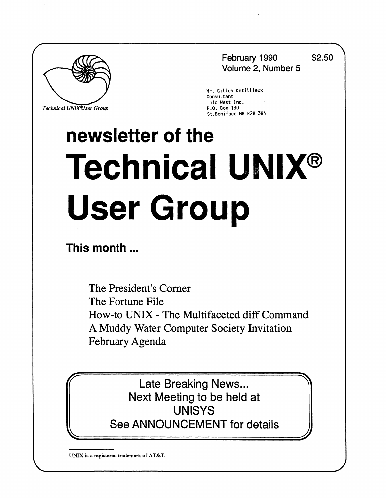

 $Technical$  UNIX<sup>4</sup>User Group

**February 1990 \$2.50 Volume 2, Number 5** 

**Mr. Gilies Detillieux Consultant Info West Inc.**  St.Boniface MB R2H 3B4

# **newsletter of the Technical UNIX® User Group**

**This month...** 

The President's Corner The Fortune File How-to UNIX - The Multifaceted diff Command A Muddy Water Computer Society Invitation February Agenda

Late Breaking News... Next Meeting to be held at UNISYS See ANNOUNCEMENT for details

**UNIX is a registered trademark of AT&T.**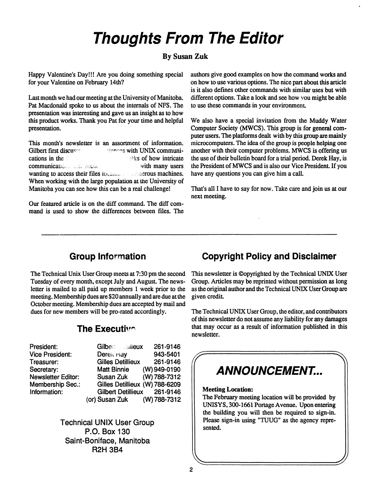## **Thoughts From The Editor**

#### **By Susan Zuk**

Happy Valentine's Day!!! Are you doing something special for your Valentine on February 14th?

Last month we had our meeting at the University of Manitoba. Pat Macdonald spoke to us about the internals of NFS. The presentation was interesting and gave us an insight as to how this product works. Thank you Pat for your time and helpful presentation.

This month's newsletter is an assortment of information. Gilbert first discusse **and the series with UNIX communi**cations in the view of how intricate communications says second the second with many users wanting to access their files Iocauca D assumerous machines. When working with the large population at the University of Manitoba you can see how this can be a real challenge!

Our featured article is on the diff command. The diff command is used to show the differences between files. The authors give good examples on how the command works and on how to use various options. The nice part about this article is it also defines other commands with similar uses but with different options. Take a look and see how you might be able to use these commands in your environment

We also have a special invitation from the Muddy Water Computer Society (MWCS). This group is for general computer users. The platforms dealt with by this group are mainly microcomputers. The idea of the group is people helping one another with their computer problems. MWCS is offering us the use of their bulletin board for a trial period. Derek Hay, is the President of MWCS and is also our Vice President. If you have any questions you can give him a call.

That's all I have to say for now. Take care and join us at our next meeting.

#### **Group Information**

The Technical Unix User Group meets at 7:30 pm the second Tuesday of every month, except July and August. The newsletter is mailed to all paid up members 1 week prior to the meeting. Membership dues are \$20 annually and are due at the October meeting. Membership dues are accepted by mail and dues for new members will be pro-rated accordingly.

#### **The Executive**

**Gilben aiieux 261-9146 DereK riay 943-5401 Gilles Detillieux 261-9146 MattBinnie (W) 949-0190 Susan Zuk (W) 788-7312 Gilles Detillieux (W) 788-6209 Gilbert Detillieux 261 -9146 (or) Susan Zuk (W) 788-7312** 

**Technical UNIX User Group P.O. Box 130 Saint-Boniface, Manitoba R2H 3B4** 

#### **Copyright Policy and Disclaimer**

This newsletter is ©opyrighted by the Technical UNIX User Group. Articles may be reprinted without permission as long as the original author and the Technical UNIX User Group are given credit

The Technical UNIX User Group, the editor, and contributors of this newsletter do not assume any liability for any damages that may occur as a result of information published in this newsletter.

## **i i** *illiainisticity* **ANNOUNCEMENT...**

#### **Meeting Location:**

The February meeting location will be provided by UNISYS, 300-1661 Portage Avenue. Upon entering the building you will then be required to sign-in. Please sign-in using "TUUG" as the agency represented.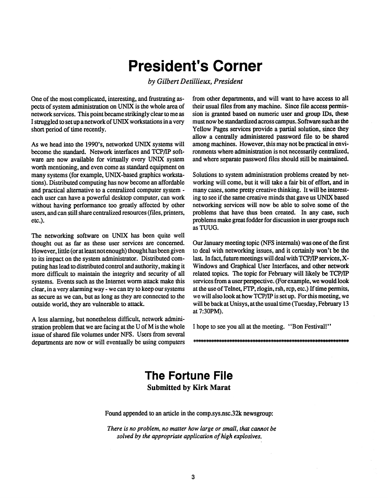## **President's Corner**

*by Gilbert Detillieux, President* 

One of the most complicated, interesting, and frustrating aspects of system administration on UNIX is the whole area of network services. This point became strikingly clear to me as I struggled to set up a network of UNIX workstations in a very short period of time recendy.

As we head into the 1990's, networked UNIX systems will become the standard. Network interfaces and TCP/IP software are now available for virtually every UNIX system worth mentioning, and even come as standard equipment on many systems (for example, UNIX-based graphics workstations). Distributed computing has now become an affordable and practical alternative to a centralized computer system each user can have a powerful desktop computer, can work without having performance too greatly affected by other users, and can still share centralized resources (files, printers, etc.).

The networking software on UNIX has been quite well thought out as far as these user services are concerned. However, litde (or at least not enough) thought has been given to its impact on the system administrator. Distributed computing has lead to distributed control and authority, making it more difficult to maintain the integrity and security of all systems. Events such as the Internet worm attack make this clear, in a very alarming way - we can try to keep our systems as secure as we can, but as long as they are connected to the outside world, they are vulnerable to attack.

A less alarming, but nonetheless difficult, network administration problem that we are facing at the U of M is the whole issue of shared file volumes under NFS. Users from several departments are now or will eventually be using computers from other departments, and will want to have access to all their usual files from any machine. Since file access permission is granted based on numeric user and group IDs, these must now be standardized across campus. Software such as the Yellow Pages services provide a partial solution, since they allow a centrally administered password file to be shared among machines. However, this may not be practical in environments where administration is not necessarily centralized, and where separate password files should still be maintained.

Solutions to system administration problems created by networking will come, but it will take a fair bit of effort, and in many cases, some pretty creative thinking. It will be interesting to see if the same creative minds that gave us UNIX based networking services will now be able to solve some of the problems that have thus been created. In any case, such problems make great fodder for discussion in user groups such asTUUG.

Our January meeting topic (NFS internals) was one of the first to deal with networking issues, and it certainly won't be the last. In fact, future meetings will deal with TCP/IP services, X-Windows and Graphical User Interfaces, and other network related topics. The topic for February will likely be TCP/IP services from a user perspective. (For example, we would look at the use of Telnet, FTP, rlogin, rsh, rep, etc.) If time permits, we will also look at how TCP/IP is set up. For this meeting, we will be back at Unisys, at the usual time (Tuesday, February 13 at 7:30PM).

I hope to see you all at the meeting. "Bon Festival!"

### **The Fortune File Submitted by Kirk Marat**

Found appended to an article in the [comp.sys.nsc.32k n](comp.sys.nsc.32k)ewsgroup:

*There is no problem, no matter how large or small, that cannot be solved by the appropriate application of high explosives.*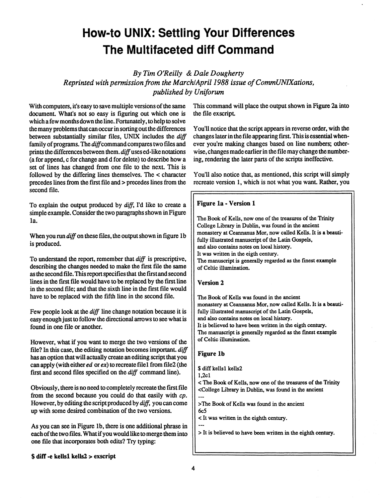## **How-to UNIX: Settling Your Differences The Multifaceted diff Command**

*By Tim O'Reilly & Dale Dougherty* 

*Reprinted with permission from the March/April 1988 issue of CommUNIXations, published by Uniforum* 

**With computers, it's easy to save multiple versions of the same document. What's not so easy is figuring out which one is which a few months down the line. Fortunately, to help to solve the many problems that can occur in sorting out the differences between substantially similar files, UNIX includes the** *diff*  family of programs. The diff command compares two files and **prints the differences between them,** *diff* **uses ed-like notations (a for append, c for change and d for delete) to describe how a set of lines has changed from one file to the next. This is followed by the differing lines themselves. The < character precedes lines from the first file and > precedes lines from the second file.** 

**To explain the output produced by** *diff,* **I'd like to create a simple example. Consider the two paragraphs shown in Figure la.** 

**When you run** *diff* **on these files, the output shown in figure lb is produced.** 

**To understand the report, remember that** *diff* **is prescriptive, describing the changes needed to make the first file the same as the second file. This report specifies that the first and second lines in the first file would have to be replaced by the first line in the second file; and that the sixth line in the first file would have to be replaced with the fifth line in the second file.** 

**Few people look at the** *diff* **line change notation because it is easy enough just to follow the directional arrows to see what is found in one file or another.** 

**However, what if you want to merge the two versions of the file? In this case, the editing notation becomes important,** *diff*  **has an option that will actually create an editing script that you can apply (with either** *ed* **or** *ex)* **to recreate filel from file2 (the first and second files specified on the** *diff* **command line).** 

**Obviously, there is no need to completely recreate the first file from the second because you could do that easily with** *cp.*  **However, by editing the script produced by** *diff,* **you can come up with some desired combination of the two versions.** 

**As you can see in Figure lb, there is one additional phrase in each of the two files. What if you would like to merge them into one file that incorporates both edits? Try typing:** 

**\$ diff -e kellsl kells2 > exscript** 

**This command will place the output shown in Figure 2a into**  the file exscript.

**You'll notice that the script appears in reverse order, with the changes later in the file appearing first. This is essential whenever you're making changes based on line numbers; otherwise, changes made earlier in the file may change the numbering, rendering the later parts of the scripts ineffective.** 

**You'll also notice that, as mentioned, this script will simply recreate version 1, which is not what you want. Rather, you** 

#### **Figure la - Version 1**

The Book of Kells, now one of the treasures of the Trinity College Library in Dublin, was found in the ancient monastery at Ceannanus Mor, now called Kells. It is a beautifully illustrated manuscript of the Latin Gospels, and also contains notes on local history. It was written in the eigth century. The manuscript is generally regarded as the finest example of Celtic illumination.

#### **Version 2**

The Book of Kells was found in the ancient monastery at Ceannanus Mor, now called Kells. It is a beautifully illustrated manuscript of the Latin Gospels, and also contains notes on local history. It is believed to have been written in the eigth century. The manuscript is generally regarded as the finest example of Celtic illumination.

#### **Figure lb**

\$ diff kellsl kells2

l,2cl

< The Book of Kells, now one of the treasures of the Trinity <College Library in Dublin, was found in the ancient

>The Book of Kells was found in the ancient 6c5

- < It was written in the eighth century.
- > It is believed to have been written in the eighth century.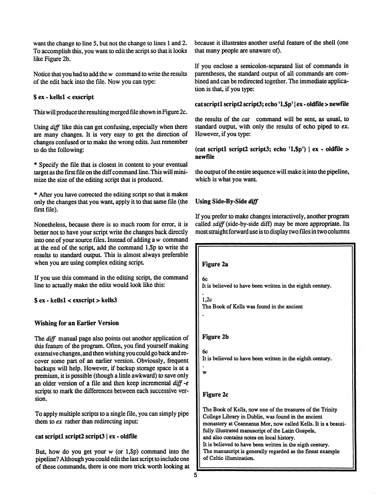want the change to line 5, but not the change to lines 1 and 2. To accomplish this, you want to edit the script so that it looks like Figure 2b.

Notice that you had to add the *w* command to write the results of the edit back into the file. Now you can type:

#### \$ **ex** - **kellsl < exscript**

This will produce the resulting merged file shown in Figure 2c.

Using *diff* like this can get confusing, especially when there are many changes. It is very easy to get the direction of changes confused or to make the wrong edits. Just remember to do the following:

\* Specify the file that is closest in content to your eventual target as the first file on the diff command line. This will minimize the size of the editing script that is produced.

\* After you have corrected the editing script so that it makes only the changes that you want, apply it to that same file (the first file).

Nonetheless, because there is so much room for error, it is better not to have your script write the changes back directly into one of your source files. Instead of adding a w command at the end of the script, add the command l,\$p to write the results to standard output. This is almost always preferable when you are using complex editing script.

If you use this command in the editing script, the command line to actually make the edits would look like this:

\$ **ex** - **kellsl < exscript > kells3** 

#### **Wishing for an Earlier Version**

The *diff* manual page also points out another application of this feature of the program. Often, you find yourself making extensive changes, and then wishing you could go back and recover some part of an earlier version. Obviously, frequent backups will help. However, if backup storage space is at a premium, it is possible (though a little awkward) to save only an older version of a file and then keep incremental *diff -e*  scripts to mark the differences between each successive version.

To apply multiple scripts to a single file, you can simply pipe them to *ex* rather than redirecting input:

#### **cat scriptl script2 script3 | ex - oldfile**

But, how do you get your  $w$  (or 1,\$p) command into the pipeline? Although you could edit the last script to include one of these commands, there is one more trick worth looking at

because it illustrates another useful feature of the shell (one that many people are unaware of).

If you enclose a semicolon-separated list of commands in parentheses, the standard output of all commands are combined and can be redirected together. The immediate application is that, if you type:

#### cat script1 script2 script3; echo '1,\$p' | ex - oldfile > newfile

the results of the *cat* command will be sent, as usual, to standard output, with only the results of echo piped to *ex.*  However, if you type:

 $(cat script1 script2 script3; echo '1, $p') | ex - oldfile >$ **newfile** 

the output of the entire sequence will make it into the pipeline, which is what you want

#### **Using Side-By-Side diff**

If you prefer to make changes interactively, another program called *sdiff* (side-by-side diff) may be more appropriate. Its most straight forward use is to display two files in two columns

**Figure 2a** 

6c It is believed to have been written in the eighth century.

1,2c The Book of Kells was found in the ancient

#### **Figure 2b**

6c It is believed to have been written in the eighth century.

**w** 

#### **Figure 2c**

The Book of Kells, now one of the treasures of the Trinity College Library in Dublin, was found in the ancient monastery at Ceannanus Mor, now called Kells. It is a beautifully illustrated manuscript of the Latin Gospels, and also contains notes on local history. It is believed to have been written in the eigth century. The manuscript is generally regarded as the finest example of Celtic illumination.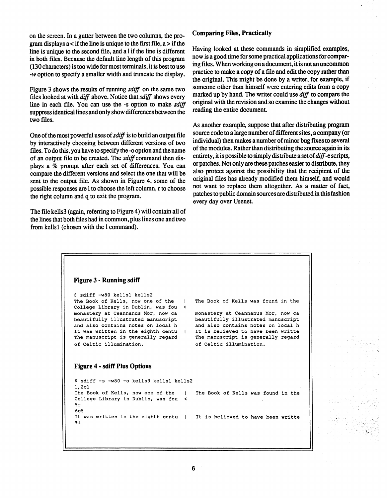on the screen. In a gutter between the two columns, the program displays  $a <$  if the line is unique to the first file,  $a >$  if the line is unique to the second file, and a  $\vert$  if the line is different in both files. Because the default line length of this program (130 characters) is too wide for most terminals, it is best to use -w option to specify a smaller width and truncate the display.

Figure 3 shows the results of running *sdiff* on the same two files looked at with *diff* above. Notice that *sdiff* shows every line in each file. You can use the -s option to make *sdiff*  suppress identical lines and only show differences between the two files.

One of the most powerful uses of *sdiff* is to build an output file by interactively choosing between different versions of two files. To do this, you have to specify the -o option and the name of an output file to be created. The *sdiff* command then displays a % prompt after each set of differences. You can compare the different versions and select the one that will be sent to the output file. As shown in Figure 4, some of the possible responses are 1 to choose the left column, r to choose the right column and q to exit the program.

The file kells3 (again, referring to Figure 4) will contain all of the lines that both files had in common, plus lines one and two from kellsl (chosen with the 1 command).

#### **Comparing Files, Practically**

Having looked at these commands in simplified examples, now is a good time for some practical applications for comparing files. When working on a document, it is not an uncommon practice to make a copy of a file and edit the copy rather than the original. This might be done by a writer, for example, if someone other than himself were entering edits from a copy marked up by hand. The writer could use *diff* to compare the original with the revision and so examine the changes without reading the entire document

As another example, suppose that after distributing program source code to a large number of different sites, a company (or individual) then makes a number of minor bug fixes to several of the modules. Rather than distributing the source again in its entirety, it is possible to simply distribute a set *of diff-e* scripts, or patches. Not only are these patches easier to distribute, they also protect against the possibility that the recipient of the original files has already modified them himself, and would not want to replace them altogether. As a matter of fact, patches to public domain sources are distributed in this fashion every day over Usenet

```
Figure 3 - Running sdiff 
$ sdiff -w80 kellsl kells2 
The Book of Kells, now one of the I 
College Library in Dublin, was fou < 
monastery at Ceannanus Mor, now ca 
beautifully illustrated manuscript 
and also contains notes on local h 
It was written in the eighth centu | 
The manuscript is generally regard 
of Celtic illumination. 
Figure 4 - sdiff Plus Options 
$ sdiff -s -w80 -o kells3 kellsl kells2 
l,2cl 
The Book of Kells, now one of the | 
College Library in Dublin, was fou < 
%r 
6c5 
It was written in the eighth centu I 
%1 
                                         The Book of Kells was found in the 
                                         monastery at Ceannanus Mor, now ca 
                                         beautifully illustrated manuscript 
                                         and also contains notes on local h 
                                         It is believed to have been writte 
                                         The manuscript is generally regard 
                                         of Celtic illumination. 
                                          The Book of Kells was found in the 
                                          It is believed to have been writte
```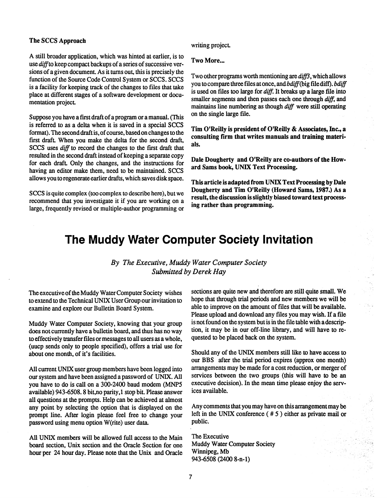#### **The SCCS Approach**

**A still broader application, which was hinted at earlier, is to use** *diff to* **keep compact backups of a series of successive versions of a given document. As it turns out, this is precisely the function of the Source Code Control System or SCCS. SCCS is a facility for keeping track of the changes to files that take place at different stages of a software development or docu**mentation project.

**Suppose you have a first draft of a program or a manual. (This is referred to as a delta when it is saved in a special SCCS format). The second draft is, of course, based on changes to the**  first draft. When you make the delta for the second draft. **SCCS uses** *diff* **to record the changes to the first draft that resulted in the second draft instead of keeping a separate copy**  for each draft. Only the changes, and the instructions for **having an editor make them, need to be maintained. SCCS allows you to regenerate earlier drafts, which saves disk space.** 

**SCCS is quite complex (too complex to describe here), but we recommend that you investigate it if you are working on a large, frequently revised or multiple-author programming or** 

#### writing project.

#### **Two More...**

**Two other programs worth mentioning are** *diff3,* **which allows you to compare three files at once, and** *bdiff(jbig* **file diff).** *bdiff*  **is used on files too large for** *diff.* **It breaks up a large file into smaller segments and then passes each one through** *diff,* **and maintains line numbering as though** *diff* **were still operating on the single large file.** 

**Tim O'Reilly is president of O'Reilly & Associates, Inc., a consulting firm that writes manuals and training materials.** 

**Dale Dougherty and O'Reilly are co-authors of the Howard Sams book, UNIX Text Processing.** 

**This article is adapted from UNIX Text Processing by Dale Dougherty and Tim O'Reilly (Howard Sams, 1987.) As a result, the discussion is slightly biased toward text processing rather than programming.** 

## **The Muddy Water Computer Society Invitation**

#### *By The Executive, Muddy Water Computer Society Submitted by Derek Hay*

**The executive of the Muddy Water Computer Society wishes to extend to the Technical UNIX User Group our invitation to examine and explore our Bulletin Board System.** 

**Muddy Water Computer Society, knowing that your group does not currently have a bulletin board, and thus has no way to effectively transfer files or messages to all users as a whole, (uucp sends only to people specified), offers a trial use for about one month, of it's facilities.** 

**All current UNIX user group members have been logged into our system and have been assigned a password of UNIX. All you have to do is call on a 300-2400 baud modem (MNP5 available) 943-6508.8 bit,no parity, 1 stop bit. Please answer all questions at the prompts. Help can be achieved at almost any point by selecting the option that is displayed on the prompt line. After login please feel free to change your password using menu option W(rite) user data.** 

**All UNIX members will be allowed full access to the Main board section, Unix section and the Oracle Section for one hour per 24 hour day. Please note that the Unix and Oracle**  **sections are quite new and therefore are still quite small. We hope that through trial periods and new members we will be able to improve on the amount of files that will be available. Please upload and download any files you may wish. If a file is not found on the system but is in the file table with a description, it may be in our off-line library, and will have to requested to be placed back on the system.** 

**Should any of the UNIX members still like to have access to our BBS after the trial period expires (approx one month) arrangements may be made for a cost reduction, or merger of services between the two groups (this will have to be an executive decision). In the mean time please enjoy the services available.** 

**Any comments that you may have on this arrangement may be left in the UNIX conference ( # 5 ) either as private mail or public.** 

**The Executive Muddy Water Computer Society Winnipeg, Mb 943-6508 (2400 8-n-l)**